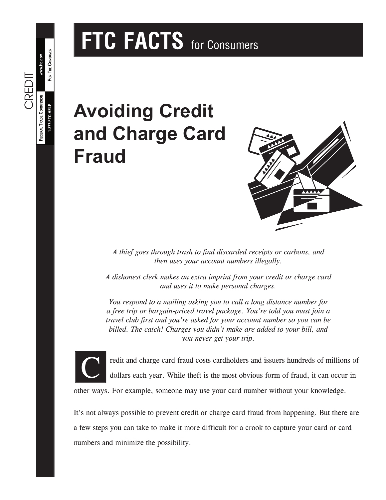# **FTC FACTS** for Consumers

## **Avoiding Credit and Charge Card Fraud**



*A thief goes through trash to find discarded receipts or carbons, and then uses your account numbers illegally.*

*A dishonest clerk makes an extra imprint from your credit or charge card and uses it to make personal charges.*

*You respond to a mailing asking you to call a long distance number for a free trip or bargain-priced travel package. You're told you must join a travel club first and you're asked for your account number so you can be billed. The catch! Charges you didn't make are added to your bill, and you never get your trip.*



**FOR THE CONSUMER**

FOR THE CONSUMER

**www.ftc.gov**

CREDIT

**1-877-FTC-HELP**

**FEDERAL TRADE C**

FEDERAL TRADE COMMISSION 1-877-FTC-HELP

**OMMISSION**

redit and charge card fraud costs cardholders and issuers hundreds of millions of dollars each year. While theft is the most obvious form of fraud, it can occur in

other ways. For example, someone may use your card number without your knowledge.

It's not always possible to prevent credit or charge card fraud from happening. But there are a few steps you can take to make it more difficult for a crook to capture your card or card numbers and minimize the possibility.